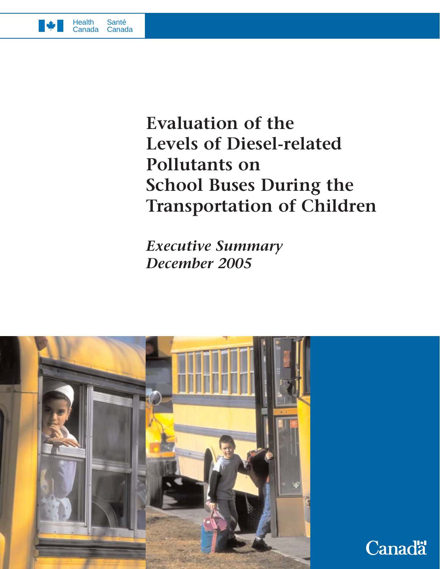

# **Evaluation of the Levels of Diesel-related Pollutants on School Buses During the Transportation of Children**

*Executive Summary December 2005*



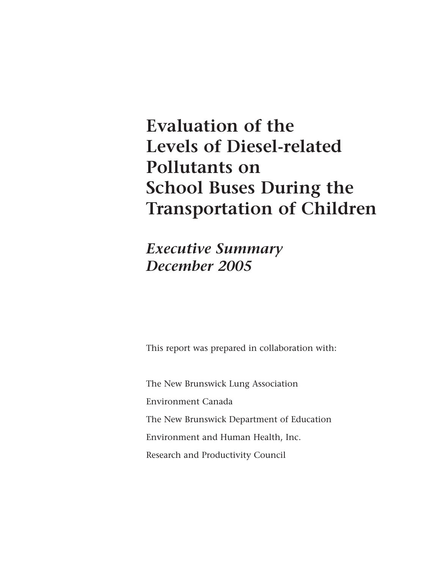# **Evaluation of the Levels of Diesel-related Pollutants on School Buses During the Transportation of Children**

*Executive Summary December 2005*

This report was prepared in collaboration with:

The New Brunswick Lung Association Environment Canada The New Brunswick Department of Education Environment and Human Health, Inc. Research and Productivity Council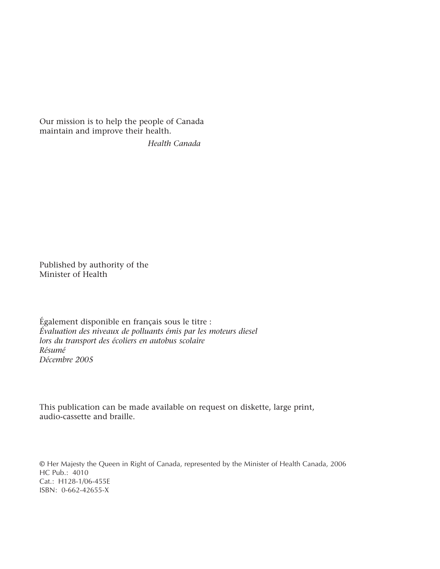Our mission is to help the people of Canada maintain and improve their health.

*Health Canada*

Published by authority of the Minister of Health

Également disponible en français sous le titre : *Évaluation des niveaux de polluants émis par les moteurs diesel lors du transport des écoliers en autobus scolaire Résumé Décembre 2005*

This publication can be made available on request on diskette, large print, audio-cassette and braille.

© Her Majesty the Queen in Right of Canada, represented by the Minister of Health Canada, 2006 HC Pub.: 4010 Cat.: H128-1/06-455E ISBN: 0-662-42655-X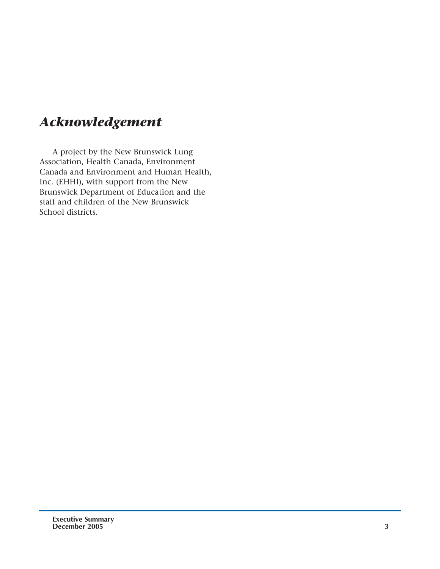# *Acknowledgement*

A project by the New Brunswick Lung Association, Health Canada, Environment Canada and Environment and Human Health, Inc. (EHHI), with support from the New Brunswick Department of Education and the staff and children of the New Brunswick School districts.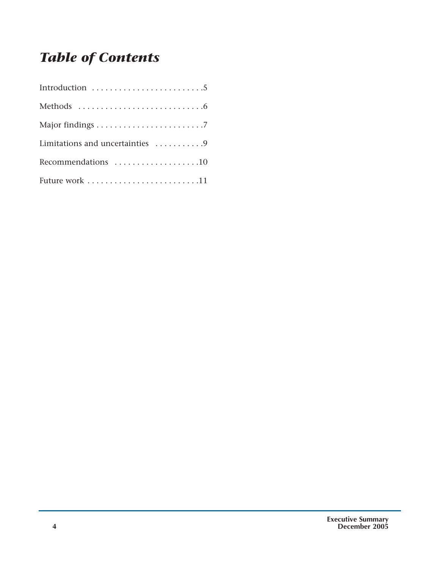# *Table of Contents*

| Limitations and uncertainties 9 |
|---------------------------------|
| Recommendations 10              |
|                                 |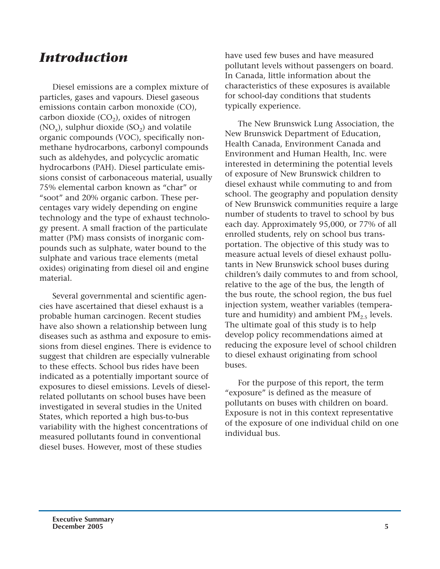#### *Introduction*

Diesel emissions are a complex mixture of particles, gases and vapours. Diesel gaseous emissions contain carbon monoxide (CO), carbon dioxide  $(CO<sub>2</sub>)$ , oxides of nitrogen  $(NO_x)$ , sulphur dioxide  $(SO_2)$  and volatile organic compounds (VOC), specifically nonmethane hydrocarbons, carbonyl compounds such as aldehydes, and polycyclic aromatic hydrocarbons (PAH). Diesel particulate emissions consist of carbonaceous material, usually 75% elemental carbon known as "char" or "soot" and 20% organic carbon. These percentages vary widely depending on engine technology and the type of exhaust technology present. A small fraction of the particulate matter (PM) mass consists of inorganic compounds such as sulphate, water bound to the sulphate and various trace elements (metal oxides) originating from diesel oil and engine material.

Several governmental and scientific agencies have ascertained that diesel exhaust is a probable human carcinogen. Recent studies have also shown a relationship between lung diseases such as asthma and exposure to emissions from diesel engines. There is evidence to suggest that children are especially vulnerable to these effects. School bus rides have been indicated as a potentially important source of exposures to diesel emissions. Levels of dieselrelated pollutants on school buses have been investigated in several studies in the United States, which reported a high bus-to-bus variability with the highest concentrations of measured pollutants found in conventional diesel buses. However, most of these studies

have used few buses and have measured pollutant levels without passengers on board. In Canada, little information about the characteristics of these exposures is available for school-day conditions that students typically experience.

The New Brunswick Lung Association, the New Brunswick Department of Education, Health Canada, Environment Canada and Environment and Human Health, Inc. were interested in determining the potential levels of exposure of New Brunswick children to diesel exhaust while commuting to and from school. The geography and population density of New Brunswick communities require a large number of students to travel to school by bus each day. Approximately 95,000, or 77% of all enrolled students, rely on school bus transportation. The objective of this study was to measure actual levels of diesel exhaust pollutants in New Brunswick school buses during children's daily commutes to and from school, relative to the age of the bus, the length of the bus route, the school region, the bus fuel injection system, weather variables (temperature and humidity) and ambient  $PM_{2.5}$  levels. The ultimate goal of this study is to help develop policy recommendations aimed at reducing the exposure level of school children to diesel exhaust originating from school buses.

For the purpose of this report, the term "exposure" is defined as the measure of pollutants on buses with children on board. Exposure is not in this context representative of the exposure of one individual child on one individual bus.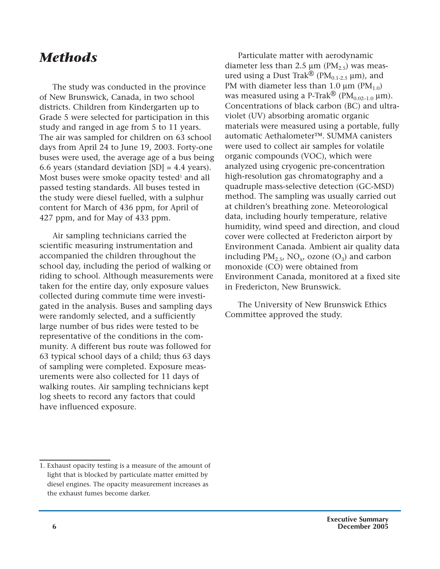#### *Methods*

The study was conducted in the province of New Brunswick, Canada, in two school districts. Children from Kindergarten up to Grade 5 were selected for participation in this study and ranged in age from 5 to 11 years. The air was sampled for children on 63 school days from April 24 to June 19, 2003. Forty-one buses were used, the average age of a bus being 6.6 years (standard deviation [SD] = 4.4 years). Most buses were smoke opacity tested<sup>1</sup> and all passed testing standards. All buses tested in the study were diesel fuelled, with a sulphur content for March of 436 ppm, for April of 427 ppm, and for May of 433 ppm.

Air sampling technicians carried the scientific measuring instrumentation and accompanied the children throughout the school day, including the period of walking or riding to school. Although measurements were taken for the entire day, only exposure values collected during commute time were investigated in the analysis. Buses and sampling days were randomly selected, and a sufficiently large number of bus rides were tested to be representative of the conditions in the community. A different bus route was followed for 63 typical school days of a child; thus 63 days of sampling were completed. Exposure measurements were also collected for 11 days of walking routes. Air sampling technicians kept log sheets to record any factors that could have influenced exposure.

Particulate matter with aerodynamic diameter less than 2.5  $\mu$ m (PM<sub>2.5</sub>) was measured using a Dust Trak<sup>®</sup> (PM<sub>0.1-2.5</sub> µm), and PM with diameter less than 1.0  $\mu$ m (PM<sub>1.0</sub>) was measured using a P-Trak® ( $PM_{0.02-1.0}$  µm). Concentrations of black carbon (BC) and ultraviolet (UV) absorbing aromatic organic materials were measured using a portable, fully automatic Aethalometer™. SUMMA canisters were used to collect air samples for volatile organic compounds (VOC), which were analyzed using cryogenic pre-concentration high-resolution gas chromatography and a quadruple mass-selective detection (GC-MSD) method. The sampling was usually carried out at children's breathing zone. Meteorological data, including hourly temperature, relative humidity, wind speed and direction, and cloud cover were collected at Fredericton airport by Environment Canada. Ambient air quality data including  $PM_{2.5}$ , NO<sub>x</sub>, ozone (O<sub>3</sub>) and carbon monoxide (CO) were obtained from Environment Canada, monitored at a fixed site in Fredericton, New Brunswick.

The University of New Brunswick Ethics Committee approved the study.

<sup>1.</sup> Exhaust opacity testing is a measure of the amount of light that is blocked by particulate matter emitted by diesel engines. The opacity measurement increases as the exhaust fumes become darker.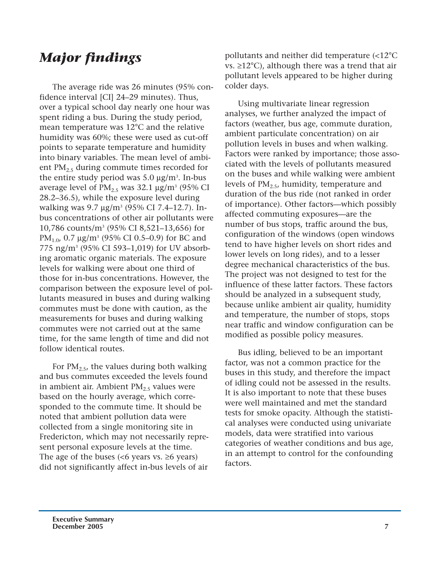### *Major findings*

The average ride was 26 minutes (95% confidence interval [CI] 24–29 minutes). Thus, over a typical school day nearly one hour was spent riding a bus. During the study period, mean temperature was 12°C and the relative humidity was 60%; these were used as cut-off points to separate temperature and humidity into binary variables. The mean level of ambient  $PM_{2.5}$  during commute times recorded for the entire study period was  $5.0 \ \mu g/m^3$ . In-bus average level of  $PM_{2.5}$  was 32.1  $\mu$ g/m<sup>3</sup> (95% CI 28.2–36.5), while the exposure level during walking was 9.7 μg/m<sup>3</sup> (95% CI 7.4–12.7). Inbus concentrations of other air pollutants were 10,786 counts/m3 (95% CI 8,521–13,656) for PM<sub>1.0</sub>, 0.7  $\mu$ g/m<sup>3</sup> (95% CI 0.5–0.9) for BC and 775 ng/m3 (95% CI 593–1,019) for UV absorbing aromatic organic materials. The exposure levels for walking were about one third of those for in-bus concentrations. However, the comparison between the exposure level of pollutants measured in buses and during walking commutes must be done with caution, as the measurements for buses and during walking commutes were not carried out at the same time, for the same length of time and did not follow identical routes.

For  $PM<sub>2.5</sub>$ , the values during both walking and bus commutes exceeded the levels found in ambient air. Ambient  $PM_{2.5}$  values were based on the hourly average, which corresponded to the commute time. It should be noted that ambient pollution data were collected from a single monitoring site in Fredericton, which may not necessarily represent personal exposure levels at the time. The age of the buses (<6 years vs.  $\geq$ 6 years) did not significantly affect in-bus levels of air pollutants and neither did temperature (<12°C vs.  $\geq$ 12°C), although there was a trend that air pollutant levels appeared to be higher during colder days.

Using multivariate linear regression analyses, we further analyzed the impact of factors (weather, bus age, commute duration, ambient particulate concentration) on air pollution levels in buses and when walking. Factors were ranked by importance; those associated with the levels of pollutants measured on the buses and while walking were ambient levels of  $PM_{2.5}$ , humidity, temperature and duration of the bus ride (not ranked in order of importance). Other factors—which possibly affected commuting exposures—are the number of bus stops, traffic around the bus, configuration of the windows (open windows tend to have higher levels on short rides and lower levels on long rides), and to a lesser degree mechanical characteristics of the bus. The project was not designed to test for the influence of these latter factors. These factors should be analyzed in a subsequent study, because unlike ambient air quality, humidity and temperature, the number of stops, stops near traffic and window configuration can be modified as possible policy measures.

Bus idling, believed to be an important factor, was not a common practice for the buses in this study, and therefore the impact of idling could not be assessed in the results. It is also important to note that these buses were well maintained and met the standard tests for smoke opacity. Although the statistical analyses were conducted using univariate models, data were stratified into various categories of weather conditions and bus age, in an attempt to control for the confounding factors.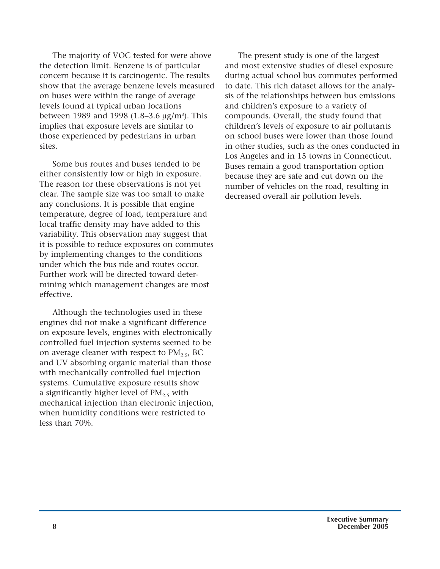The majority of VOC tested for were above the detection limit. Benzene is of particular concern because it is carcinogenic. The results show that the average benzene levels measured on buses were within the range of average levels found at typical urban locations between 1989 and 1998 (1.8–3.6 μg/m<sup>3</sup>). This implies that exposure levels are similar to those experienced by pedestrians in urban sites.

Some bus routes and buses tended to be either consistently low or high in exposure. The reason for these observations is not yet clear. The sample size was too small to make any conclusions. It is possible that engine temperature, degree of load, temperature and local traffic density may have added to this variability. This observation may suggest that it is possible to reduce exposures on commutes by implementing changes to the conditions under which the bus ride and routes occur. Further work will be directed toward determining which management changes are most effective.

Although the technologies used in these engines did not make a significant difference on exposure levels, engines with electronically controlled fuel injection systems seemed to be on average cleaner with respect to  $PM_{2.5}$ , BC and UV absorbing organic material than those with mechanically controlled fuel injection systems. Cumulative exposure results show a significantly higher level of  $PM_{2.5}$  with mechanical injection than electronic injection, when humidity conditions were restricted to less than 70%.

The present study is one of the largest and most extensive studies of diesel exposure during actual school bus commutes performed to date. This rich dataset allows for the analysis of the relationships between bus emissions and children's exposure to a variety of compounds. Overall, the study found that children's levels of exposure to air pollutants on school buses were lower than those found in other studies, such as the ones conducted in Los Angeles and in 15 towns in Connecticut. Buses remain a good transportation option because they are safe and cut down on the number of vehicles on the road, resulting in decreased overall air pollution levels.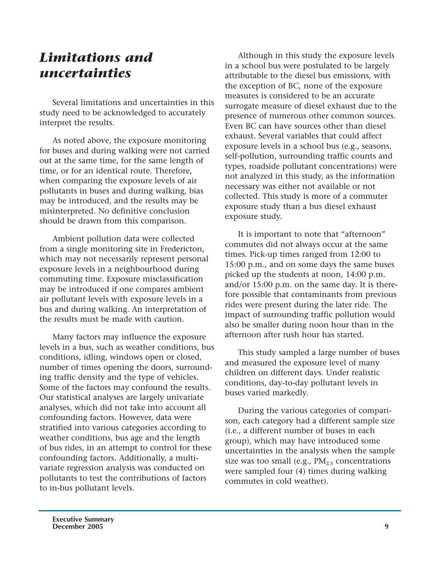#### *Limitations and uncertainties*

Several limitations and uncertainties in this study need to be acknowledged to accurately interpret the results.

As noted above, the exposure monitoring for buses and during walking were not carried out at the same time, for the same length of time, or for an identical route. Therefore, when comparing the exposure levels of air pollutants in buses and during walking, bias may be introduced, and the results may be misinterpreted. No definitive conclusion should be drawn from this comparison.

Ambient pollution data were collected from a single monitoring site in Fredericton, which may not necessarily represent personal exposure levels in a neighbourhood during commuting time. Exposure misclassification may be introduced if one compares ambient air pollutant levels with exposure levels in a bus and during walking. An interpretation of the results must be made with caution.

Many factors may influence the exposure levels in a bus, such as weather conditions, bus conditions, idling, windows open or closed, number of times opening the doors, surrounding traffic density and the type of vehicles. Some of the factors may confound the results. Our statistical analyses are largely univariate analyses, which did not take into account all confounding factors. However, data were stratified into various categories according to weather conditions, bus age and the length of bus rides, in an attempt to control for these confounding factors. Additionally, a multivariate regression analysis was conducted on pollutants to test the contributions of factors to in-bus pollutant levels.

Although in this study the exposure levels in a school bus were postulated to be largely attributable to the diesel bus emissions, with the exception of BC, none of the exposure measures is considered to be an accurate surrogate measure of diesel exhaust due to the presence of numerous other common sources. Even BC can have sources other than diesel exhaust. Several variables that could affect exposure levels in a school bus (e.g., seasons, self-pollution, surrounding traffic counts and types, roadside pollutant concentrations) were not analyzed in this study, as the information necessary was either not available or not collected. This study is more of a commuter exposure study than a bus diesel exhaust exposure study.

It is important to note that "afternoon" commutes did not always occur at the same times. Pick-up times ranged from 12:00 to 15:00 p.m., and on some days the same buses picked up the students at noon, 14:00 p.m. and/or 15:00 p.m. on the same day. It is therefore possible that contaminants from previous rides were present during the later ride. The impact of surrounding traffic pollution would also be smaller during noon hour than in the afternoon after rush hour has started.

This study sampled a large number of buses and measured the exposure level of many children on different days. Under realistic conditions, day-to-day pollutant levels in buses varied markedly.

During the various categories of comparison, each category had a different sample size (i.e., a different number of buses in each group), which may have introduced some uncertainties in the analysis when the sample size was too small (e.g.,  $PM_{2.5}$  concentrations were sampled four (4) times during walking commutes in cold weather).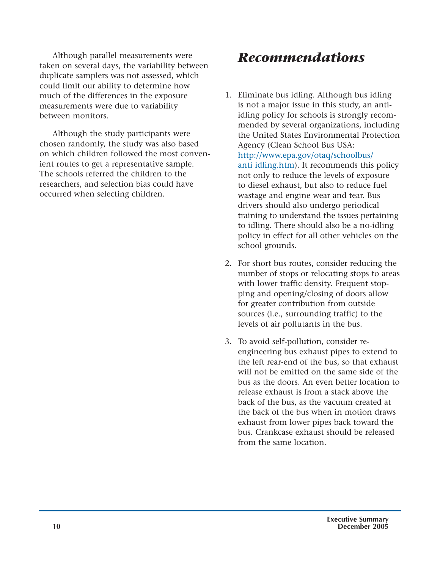Although parallel measurements were taken on several days, the variability between duplicate samplers was not assessed, which could limit our ability to determine how much of the differences in the exposure measurements were due to variability between monitors.

Although the study participants were chosen randomly, the study was also based on which children followed the most convenient routes to get a representative sample. The schools referred the children to the researchers, and selection bias could have occurred when selecting children.

## *Recommendations*

- 1. Eliminate bus idling. Although bus idling is not a major issue in this study, an antiidling policy for schools is strongly recommended by several organizations, including the United States Environmental Protection Agency (Clean School Bus USA: http://www.epa.gov/otaq/schoolbus/ anti idling.htm). It recommends this policy not only to reduce the levels of exposure to diesel exhaust, but also to reduce fuel wastage and engine wear and tear. Bus drivers should also undergo periodical training to understand the issues pertaining to idling. There should also be a no-idling policy in effect for all other vehicles on the school grounds.
- 2. For short bus routes, consider reducing the number of stops or relocating stops to areas with lower traffic density. Frequent stopping and opening/closing of doors allow for greater contribution from outside sources (i.e., surrounding traffic) to the levels of air pollutants in the bus.
- 3. To avoid self-pollution, consider reengineering bus exhaust pipes to extend to the left rear-end of the bus, so that exhaust will not be emitted on the same side of the bus as the doors. An even better location to release exhaust is from a stack above the back of the bus, as the vacuum created at the back of the bus when in motion draws exhaust from lower pipes back toward the bus. Crankcase exhaust should be released from the same location.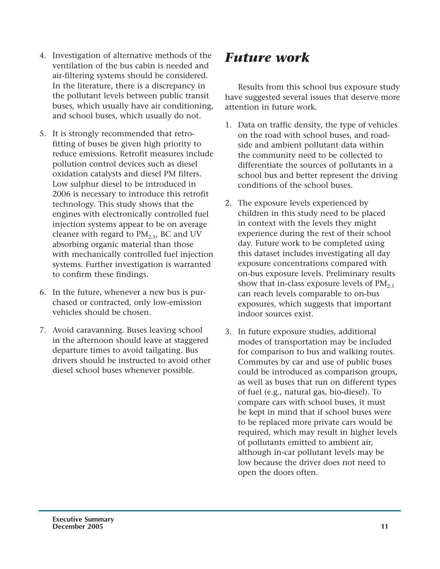- 4. Investigation of alternative methods of the ventilation of the bus cabin is needed and air-filtering systems should be considered. In the literature, there is a discrepancy in the pollutant levels between public transit buses, which usually have air conditioning, and school buses, which usually do not.
- 5. It is strongly recommended that retrofitting of buses be given high priority to reduce emissions. Retrofit measures include pollution control devices such as diesel oxidation catalysts and diesel PM filters. Low sulphur diesel to be introduced in 2006 is necessary to introduce this retrofit technology. This study shows that the engines with electronically controlled fuel injection systems appear to be on average cleaner with regard to  $PM<sub>2.5</sub>$ , BC and UV absorbing organic material than those with mechanically controlled fuel injection systems. Further investigation is warranted to confirm these findings.
- 6. In the future, whenever a new bus is purchased or contracted, only low-emission vehicles should be chosen.
- 7. Avoid caravanning. Buses leaving school in the afternoon should leave at staggered departure times to avoid tailgating. Bus drivers should be instructed to avoid other diesel school buses whenever possible.

### *Future work*

Results from this school bus exposure study have suggested several issues that deserve more attention in future work.

- 1. Data on traffic density, the type of vehicles on the road with school buses, and roadside and ambient pollutant data within the community need to be collected to differentiate the sources of pollutants in a school bus and better represent the driving conditions of the school buses.
- 2. The exposure levels experienced by children in this study need to be placed in context with the levels they might experience during the rest of their school day. Future work to be completed using this dataset includes investigating all day exposure concentrations compared with on-bus exposure levels. Preliminary results show that in-class exposure levels of  $PM<sub>2.5</sub>$ can reach levels comparable to on-bus exposures, which suggests that important indoor sources exist.
- 3. In future exposure studies, additional modes of transportation may be included for comparison to bus and walking routes. Commutes by car and use of public buses could be introduced as comparison groups, as well as buses that run on different types of fuel (e.g., natural gas, bio-diesel). To compare cars with school buses, it must be kept in mind that if school buses were to be replaced more private cars would be required, which may result in higher levels of pollutants emitted to ambient air, although in-car pollutant levels may be low because the driver does not need to open the doors often.